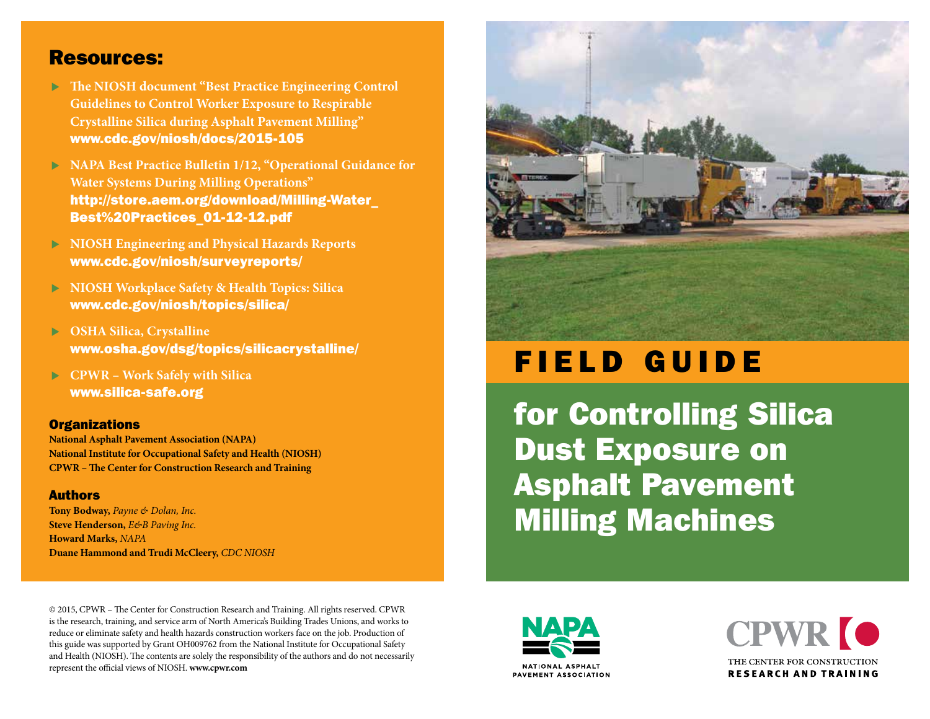#### Resources:

- **The NIOSH document "Best Practice Engineering Control Guidelines to Control Worker Exposure to Respirable Crystalline Silica during Asphalt Pavement Milling"**  [www.cdc.gov/niosh/docs/2015-105](http://www.cdc.gov/niosh/docs/2015-105)
- **NAPA Best Practice Bulletin 1/12, "Operational Guidance for Water Systems During Milling Operations"**  [http://store.aem.org/download/Milling-Water\\_](http://store.aem.org/download/Milling-Water_Best%20Practices_01-12-12.pdf) [Best%20Practices\\_01-12-12.pdf](http://store.aem.org/download/Milling-Water_Best%20Practices_01-12-12.pdf)
- **NIOSH Engineering and Physical Hazards Reports**  [www.cdc.gov/niosh/surveyreports/](http://www.cdc.gov/niosh/surveyreports/)
- **NIOSH Workplace Safety & Health Topics: Silica**  [www.cdc.gov/niosh/topics/silica/](http://www.cdc.gov/niosh/topics/silica/)
- **OSHA Silica, Crystalline**  [www.osha.gov/dsg/topics/silicacrystalline/](http://www.osha.gov/dsg/topics/silicacrystalline/)
- **CPWR Work Safely with Silica**  [www.silica-safe.org](http://www.silica-safe.org)

#### **Organizations**

**National Asphalt Pavement Association (NAPA) National Institute for Occupational Safety and Health (NIOSH) CPWR – The Center for Construction Research and Training**

#### Authors

**Tony Bodway,** *Payne & Dolan, Inc.* **Steve Henderson,** *E&B Paving Inc.* **Howard Marks,** *NAPA* **Duane Hammond and Trudi McCleery,** *CDC NIOSH*



# FIELD GUIDE

for Controlling Silica Dust Exposure on Asphalt Pavement Milling Machines

© 2015, CPWR – The Center for Construction Research and Training. All rights reserved. CPWR is the research, training, and service arm of North America's Building Trades Unions, and works to reduce or eliminate safety and health hazards construction workers face on the job. Production of this guide was supported by Grant OH009762 from the National Institute for Occupational Safety and Health (NIOSH). The contents are solely the responsibility of the authors and do not necessarily represent the official views of NIOSH. **[www.cpwr.com](http://www.cpwr.com)**



**NATIONAL ASPHALT** PAVEMENT ASSOCIATION

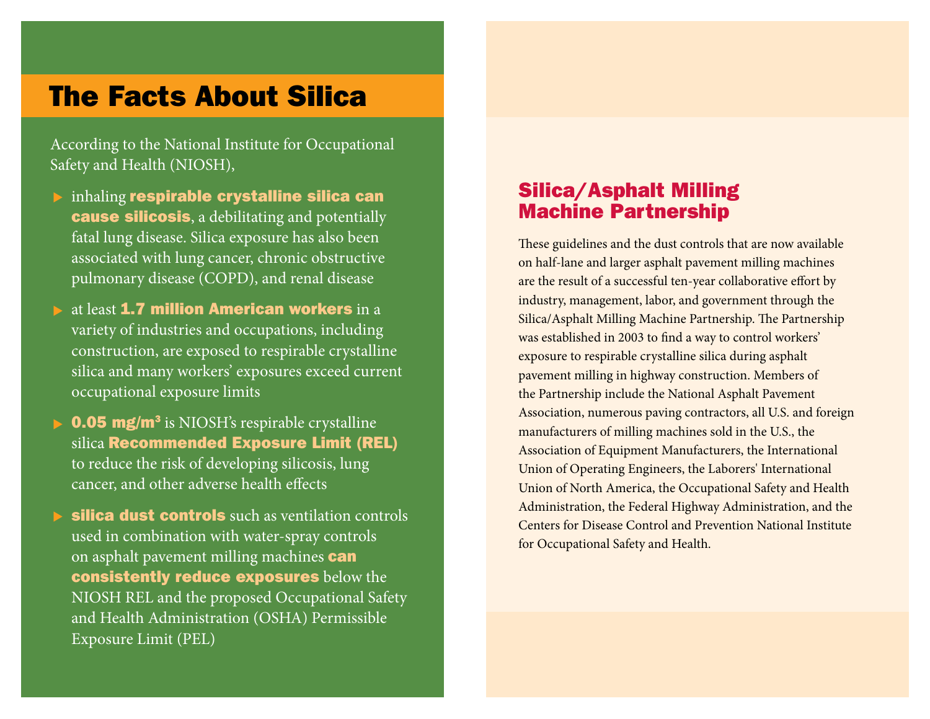## The Facts About Silica

According to the National Institute for Occupational Safety and Health (NIOSH),

- $\blacktriangleright$  inhaling respirable crystalline silica can **cause silicosis**, a debilitating and potentially fatal lung disease. Silica exposure has also been associated with lung cancer, chronic obstructive pulmonary disease (COPD), and renal disease
- at least 1.7 million American workers in a variety of industries and occupations, including construction, are exposed to respirable crystalline silica and many workers' exposures exceed current occupational exposure limits
- **0.05 mg/m<sup>3</sup>** is NIOSH's respirable crystalline silica Recommended Exposure Limit (REL) to reduce the risk of developing silicosis, lung cancer, and other adverse health effects
- silica dust controls such as ventilation controls used in combination with water-spray controls on asphalt pavement milling machines **can** consistently reduce exposures below the NIOSH REL and the proposed Occupational Safety and Health Administration (OSHA) Permissible Exposure Limit (PEL)

### Silica/Asphalt Milling Machine Partnership

These guidelines and the dust controls that are now available on half-lane and larger asphalt pavement milling machines are the result of a successful ten-year collaborative effort by industry, management, labor, and government through the Silica/Asphalt Milling Machine Partnership. The Partnership was established in 2003 to find a way to control workers' exposure to respirable crystalline silica during asphalt pavement milling in highway construction. Members of the Partnership include the National Asphalt Pavement Association, numerous paving contractors, all U.S. and foreign manufacturers of milling machines sold in the U.S., the Association of Equipment Manufacturers, the International Union of Operating Engineers, the Laborers' International Union of North America, the Occupational Safety and Health Administration, the Federal Highway Administration, and the Centers for Disease Control and Prevention National Institute for Occupational Safety and Health.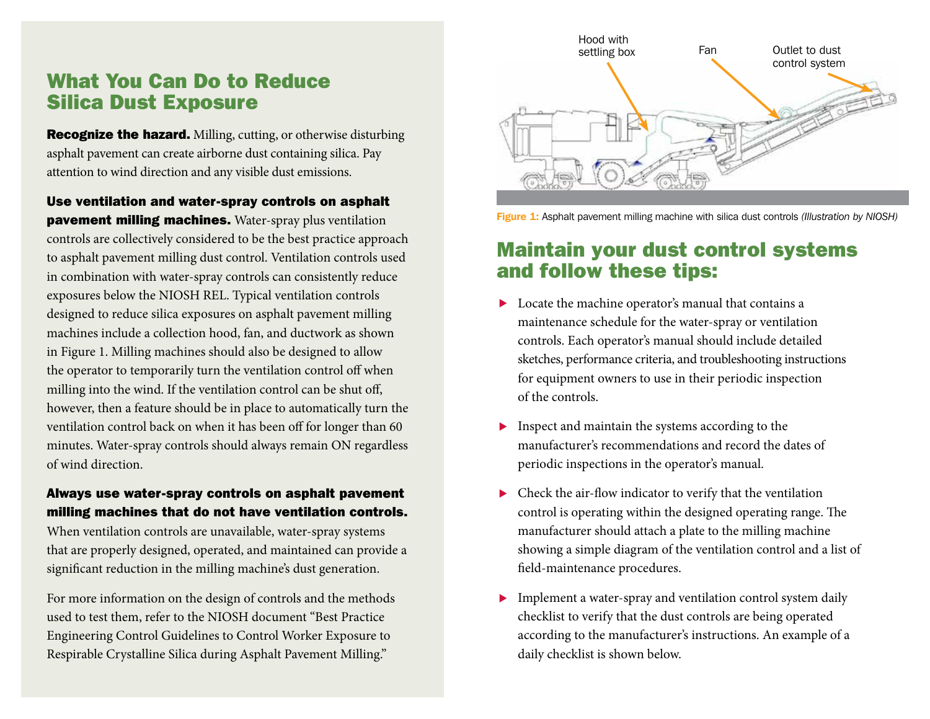#### What You Can Do to Reduce Silica Dust Exposure

Recognize the hazard. Milling, cutting, or otherwise disturbing asphalt pavement can create airborne dust containing silica. Pay attention to wind direction and any visible dust emissions.

Use ventilation and water-spray controls on asphalt pavement milling machines. Water-spray plus ventilation controls are collectively considered to be the best practice approach to asphalt pavement milling dust control. Ventilation controls used in combination with water-spray controls can consistently reduce exposures below the NIOSH REL. Typical ventilation controls designed to reduce silica exposures on asphalt pavement milling machines include a collection hood, fan, and ductwork as shown in Figure 1. Milling machines should also be designed to allow the operator to temporarily turn the ventilation control off when milling into the wind. If the ventilation control can be shut off, however, then a feature should be in place to automatically turn the ventilation control back on when it has been off for longer than 60 minutes. Water-spray controls should always remain ON regardless of wind direction.

#### Always use water-spray controls on asphalt pavement milling machines that do not have ventilation controls.

When ventilation controls are unavailable, water-spray systems that are properly designed, operated, and maintained can provide a significant reduction in the milling machine's dust generation.

For more information on the design of controls and the methods used to test them, refer to the NIOSH document "Best Practice Engineering Control Guidelines to Control Worker Exposure to Respirable Crystalline Silica during Asphalt Pavement Milling."



Figure 1: Asphalt pavement milling machine with silica dust controls *(Illustration by NIOSH)*

## Maintain your dust control systems and follow these tips:

- ▶ Locate the machine operator's manual that contains a maintenance schedule for the water-spray or ventilation controls. Each operator's manual should include detailed sketches, performance criteria, and troubleshooting instructions for equipment owners to use in their periodic inspection of the controls.
- Inspect and maintain the systems according to the manufacturer's recommendations and record the dates of periodic inspections in the operator's manual.
- $\triangleright$  Check the air-flow indicator to verify that the ventilation control is operating within the designed operating range. The manufacturer should attach a plate to the milling machine showing a simple diagram of the ventilation control and a list of field-maintenance procedures.
- **Implement a water-spray and ventilation control system daily** checklist to verify that the dust controls are being operated according to the manufacturer's instructions. An example of a daily checklist is shown below.